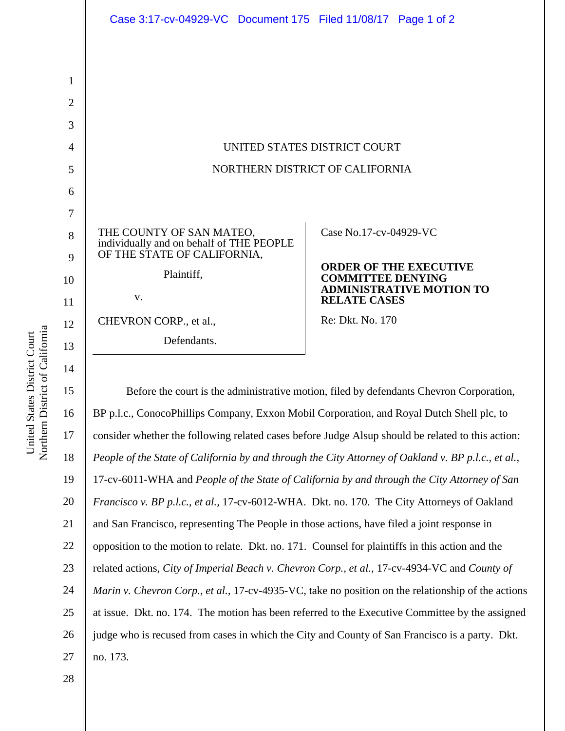|                                 | Case 3:17-cv-04929-VC Document 175 Filed 11/08/17 Page 1 of 2        |                                                        |
|---------------------------------|----------------------------------------------------------------------|--------------------------------------------------------|
|                                 |                                                                      |                                                        |
|                                 |                                                                      |                                                        |
|                                 |                                                                      |                                                        |
|                                 |                                                                      |                                                        |
|                                 |                                                                      |                                                        |
| UNITED STATES DISTRICT COURT    |                                                                      |                                                        |
|                                 |                                                                      |                                                        |
| NORTHERN DISTRICT OF CALIFORNIA |                                                                      |                                                        |
|                                 |                                                                      |                                                        |
|                                 |                                                                      |                                                        |
|                                 | THE COUNTY OF SAN MATEO,<br>individually and on behalf of THE PEOPLE | Case No.17-cv-04929-VC                                 |
|                                 | OF THE STATE OF CALIFORNIA,                                          | <b>ORDER OF THE EXECUTIVE</b>                          |
|                                 | Plaintiff,                                                           | <b>COMMITTEE DENYING</b>                               |
|                                 | V.                                                                   | <b>ADMINISTRATIVE MOTION TO</b><br><b>RELATE CASES</b> |
|                                 | CHEVRON CORP., et al.,                                               | Re: Dkt. No. 170                                       |
|                                 | Defendants.                                                          |                                                        |
|                                 |                                                                      |                                                        |

Northern District of California Northern District of California United States District Court United States District Court

 $1:$ 16 17 18 19 20 21 22 23 24 25 26 27 Before the court is the administrative motion, filed by defendants Chevron Corporation, BP p.l.c., ConocoPhillips Company, Exxon Mobil Corporation, and Royal Dutch Shell plc, to consider whether the following related cases before Judge Alsup should be related to this action: *People of the State of California by and through the City Attorney of Oakland v. BP p.l.c., et al.,* 17-cv-6011-WHA and *People of the State of California by and through the City Attorney of San Francisco v. BP p.l.c., et al.,* 17-cv-6012-WHA. Dkt. no. 170. The City Attorneys of Oakland and San Francisco, representing The People in those actions, have filed a joint response in opposition to the motion to relate. Dkt. no. 171. Counsel for plaintiffs in this action and the related actions, *City of Imperial Beach v. Chevron Corp., et al.,* 17-cv-4934-VC and *County of Marin v. Chevron Corp., et al.,* 17-cv-4935-VC, take no position on the relationship of the actions at issue. Dkt. no. 174. The motion has been referred to the Executive Committee by the assigned judge who is recused from cases in which the City and County of San Francisco is a party. Dkt. no. 173.

28